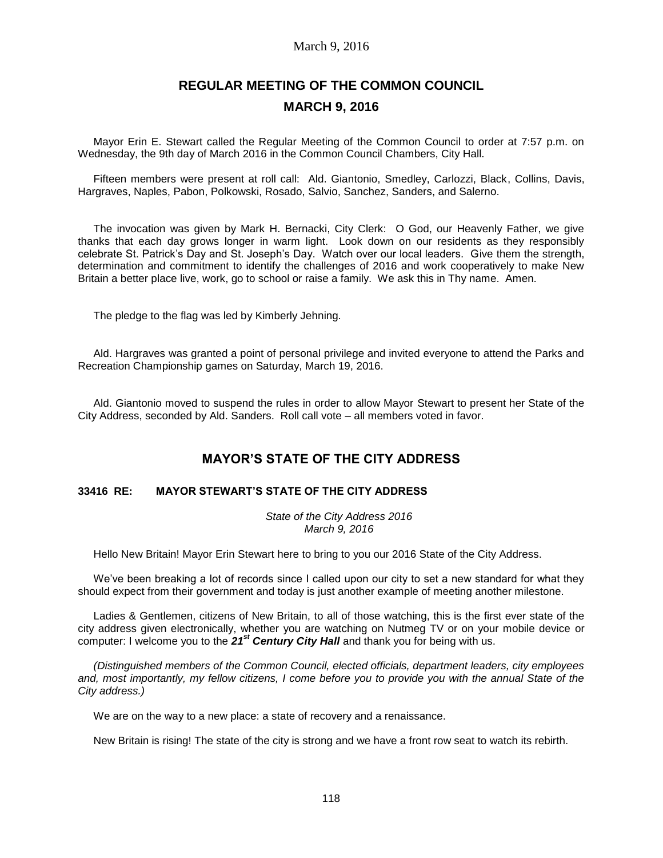### March 9, 2016

# **REGULAR MEETING OF THE COMMON COUNCIL MARCH 9, 2016**

Mayor Erin E. Stewart called the Regular Meeting of the Common Council to order at 7:57 p.m. on Wednesday, the 9th day of March 2016 in the Common Council Chambers, City Hall.

Fifteen members were present at roll call: Ald. Giantonio, Smedley, Carlozzi, Black, Collins, Davis, Hargraves, Naples, Pabon, Polkowski, Rosado, Salvio, Sanchez, Sanders, and Salerno.

The invocation was given by Mark H. Bernacki, City Clerk: O God, our Heavenly Father, we give thanks that each day grows longer in warm light. Look down on our residents as they responsibly celebrate St. Patrick's Day and St. Joseph's Day. Watch over our local leaders. Give them the strength, determination and commitment to identify the challenges of 2016 and work cooperatively to make New Britain a better place live, work, go to school or raise a family. We ask this in Thy name. Amen.

The pledge to the flag was led by Kimberly Jehning.

Ald. Hargraves was granted a point of personal privilege and invited everyone to attend the Parks and Recreation Championship games on Saturday, March 19, 2016.

Ald. Giantonio moved to suspend the rules in order to allow Mayor Stewart to present her State of the City Address, seconded by Ald. Sanders. Roll call vote – all members voted in favor.

# **MAYOR'S STATE OF THE CITY ADDRESS**

#### **33416 RE: MAYOR STEWART'S STATE OF THE CITY ADDRESS**

*State of the City Address 2016 March 9, 2016*

Hello New Britain! Mayor Erin Stewart here to bring to you our 2016 State of the City Address.

We've been breaking a lot of records since I called upon our city to set a new standard for what they should expect from their government and today is just another example of meeting another milestone.

Ladies & Gentlemen, citizens of New Britain, to all of those watching, this is the first ever state of the city address given electronically, whether you are watching on Nutmeg TV or on your mobile device or computer: I welcome you to the *21st Century City Hall* and thank you for being with us.

*(Distinguished members of the Common Council, elected officials, department leaders, city employees and, most importantly, my fellow citizens, I come before you to provide you with the annual State of the City address.)* 

We are on the way to a new place: a state of recovery and a renaissance.

New Britain is rising! The state of the city is strong and we have a front row seat to watch its rebirth.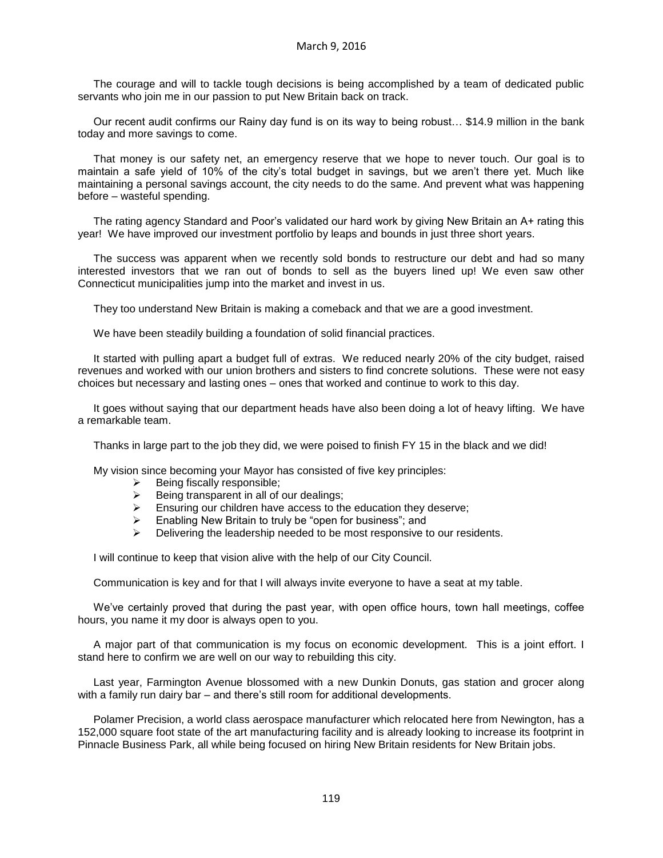The courage and will to tackle tough decisions is being accomplished by a team of dedicated public servants who join me in our passion to put New Britain back on track.

Our recent audit confirms our Rainy day fund is on its way to being robust… \$14.9 million in the bank today and more savings to come.

That money is our safety net, an emergency reserve that we hope to never touch. Our goal is to maintain a safe yield of 10% of the city's total budget in savings, but we aren't there yet. Much like maintaining a personal savings account, the city needs to do the same. And prevent what was happening before – wasteful spending.

The rating agency Standard and Poor's validated our hard work by giving New Britain an A+ rating this year! We have improved our investment portfolio by leaps and bounds in just three short years.

The success was apparent when we recently sold bonds to restructure our debt and had so many interested investors that we ran out of bonds to sell as the buyers lined up! We even saw other Connecticut municipalities jump into the market and invest in us.

They too understand New Britain is making a comeback and that we are a good investment.

We have been steadily building a foundation of solid financial practices.

It started with pulling apart a budget full of extras. We reduced nearly 20% of the city budget, raised revenues and worked with our union brothers and sisters to find concrete solutions. These were not easy choices but necessary and lasting ones – ones that worked and continue to work to this day.

It goes without saying that our department heads have also been doing a lot of heavy lifting. We have a remarkable team.

Thanks in large part to the job they did, we were poised to finish FY 15 in the black and we did!

My vision since becoming your Mayor has consisted of five key principles:

- $\triangleright$  Being fiscally responsible;
- $\triangleright$  Being transparent in all of our dealings;
- $\triangleright$  Ensuring our children have access to the education they deserve;
- Enabling New Britain to truly be "open for business"; and
- $\triangleright$  Delivering the leadership needed to be most responsive to our residents.

I will continue to keep that vision alive with the help of our City Council.

Communication is key and for that I will always invite everyone to have a seat at my table.

We've certainly proved that during the past year, with open office hours, town hall meetings, coffee hours, you name it my door is always open to you.

A major part of that communication is my focus on economic development. This is a joint effort. I stand here to confirm we are well on our way to rebuilding this city.

Last year, Farmington Avenue blossomed with a new Dunkin Donuts, gas station and grocer along with a family run dairy bar – and there's still room for additional developments.

Polamer Precision, a world class aerospace manufacturer which relocated here from Newington, has a 152,000 square foot state of the art manufacturing facility and is already looking to increase its footprint in Pinnacle Business Park, all while being focused on hiring New Britain residents for New Britain jobs.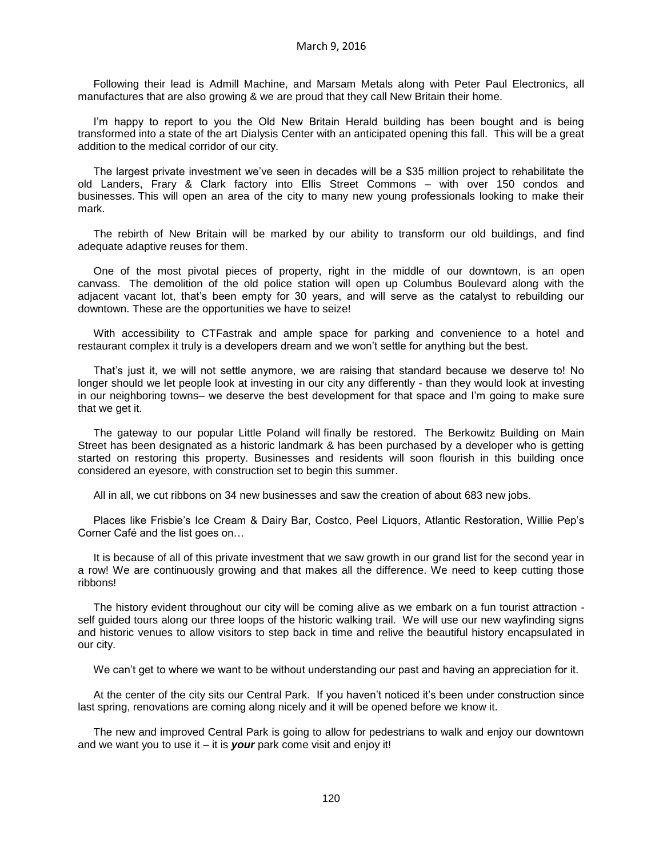Following their lead is Admill Machine, and Marsam Metals along with Peter Paul Electronics, all manufactures that are also growing & we are proud that they call New Britain their home.

I'm happy to report to you the Old New Britain Herald building has been bought and is being transformed into a state of the art Dialysis Center with an anticipated opening this fall. This will be a great addition to the medical corridor of our city.

The largest private investment we've seen in decades will be a \$35 million project to rehabilitate the old Landers, Frary & Clark factory into Ellis Street Commons – with over 150 condos and businesses. This will open an area of the city to many new young professionals looking to make their mark.

The rebirth of New Britain will be marked by our ability to transform our old buildings, and find adequate adaptive reuses for them.

One of the most pivotal pieces of property, right in the middle of our downtown, is an open canvass. The demolition of the old police station will open up Columbus Boulevard along with the adjacent vacant lot, that's been empty for 30 years, and will serve as the catalyst to rebuilding our downtown. These are the opportunities we have to seize!

With accessibility to CTFastrak and ample space for parking and convenience to a hotel and restaurant complex it truly is a developers dream and we won't settle for anything but the best.

That's just it, we will not settle anymore, we are raising that standard because we deserve to! No longer should we let people look at investing in our city any differently - than they would look at investing in our neighboring towns– we deserve the best development for that space and I'm going to make sure that we get it.

The gateway to our popular Little Poland will finally be restored. The Berkowitz Building on Main Street has been designated as a historic landmark & has been purchased by a developer who is getting started on restoring this property. Businesses and residents will soon flourish in this building once considered an eyesore, with construction set to begin this summer.

All in all, we cut ribbons on 34 new businesses and saw the creation of about 683 new jobs.

Places like Frisbie's Ice Cream & Dairy Bar, Costco, Peel Liquors, Atlantic Restoration, Willie Pep's Corner Café and the list goes on…

It is because of all of this private investment that we saw growth in our grand list for the second year in a row! We are continuously growing and that makes all the difference. We need to keep cutting those ribbons!

The history evident throughout our city will be coming alive as we embark on a fun tourist attraction self guided tours along our three loops of the historic walking trail. We will use our new wayfinding signs and historic venues to allow visitors to step back in time and relive the beautiful history encapsulated in our city.

We can't get to where we want to be without understanding our past and having an appreciation for it.

At the center of the city sits our Central Park. If you haven't noticed it's been under construction since last spring, renovations are coming along nicely and it will be opened before we know it.

The new and improved Central Park is going to allow for pedestrians to walk and enjoy our downtown and we want you to use it – it is *your* park come visit and enjoy it!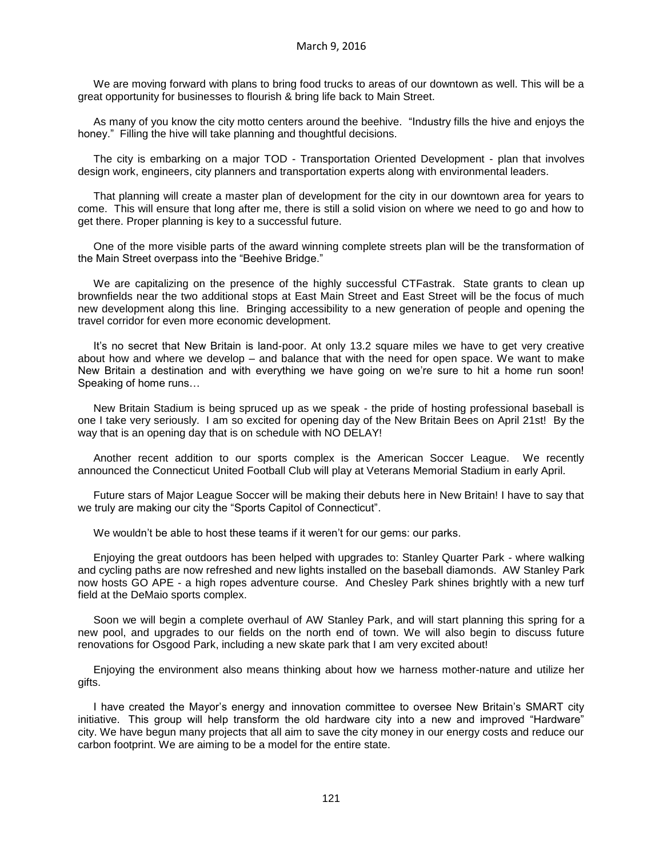We are moving forward with plans to bring food trucks to areas of our downtown as well. This will be a great opportunity for businesses to flourish & bring life back to Main Street.

As many of you know the city motto centers around the beehive. "Industry fills the hive and enjoys the honey." Filling the hive will take planning and thoughtful decisions.

The city is embarking on a major TOD - Transportation Oriented Development - plan that involves design work, engineers, city planners and transportation experts along with environmental leaders.

That planning will create a master plan of development for the city in our downtown area for years to come. This will ensure that long after me, there is still a solid vision on where we need to go and how to get there. Proper planning is key to a successful future.

One of the more visible parts of the award winning complete streets plan will be the transformation of the Main Street overpass into the "Beehive Bridge."

We are capitalizing on the presence of the highly successful CTFastrak. State grants to clean up brownfields near the two additional stops at East Main Street and East Street will be the focus of much new development along this line. Bringing accessibility to a new generation of people and opening the travel corridor for even more economic development.

It's no secret that New Britain is land-poor. At only 13.2 square miles we have to get very creative about how and where we develop – and balance that with the need for open space. We want to make New Britain a destination and with everything we have going on we're sure to hit a home run soon! Speaking of home runs…

New Britain Stadium is being spruced up as we speak - the pride of hosting professional baseball is one I take very seriously. I am so excited for opening day of the New Britain Bees on April 21st! By the way that is an opening day that is on schedule with NO DELAY!

Another recent addition to our sports complex is the American Soccer League. We recently announced the Connecticut United Football Club will play at Veterans Memorial Stadium in early April.

Future stars of Major League Soccer will be making their debuts here in New Britain! I have to say that we truly are making our city the "Sports Capitol of Connecticut".

We wouldn't be able to host these teams if it weren't for our gems: our parks.

Enjoying the great outdoors has been helped with upgrades to: Stanley Quarter Park - where walking and cycling paths are now refreshed and new lights installed on the baseball diamonds. AW Stanley Park now hosts GO APE - a high ropes adventure course. And Chesley Park shines brightly with a new turf field at the DeMaio sports complex.

Soon we will begin a complete overhaul of AW Stanley Park, and will start planning this spring for a new pool, and upgrades to our fields on the north end of town. We will also begin to discuss future renovations for Osgood Park, including a new skate park that I am very excited about!

Enjoying the environment also means thinking about how we harness mother-nature and utilize her gifts.

I have created the Mayor's energy and innovation committee to oversee New Britain's SMART city initiative. This group will help transform the old hardware city into a new and improved "Hardware" city. We have begun many projects that all aim to save the city money in our energy costs and reduce our carbon footprint. We are aiming to be a model for the entire state.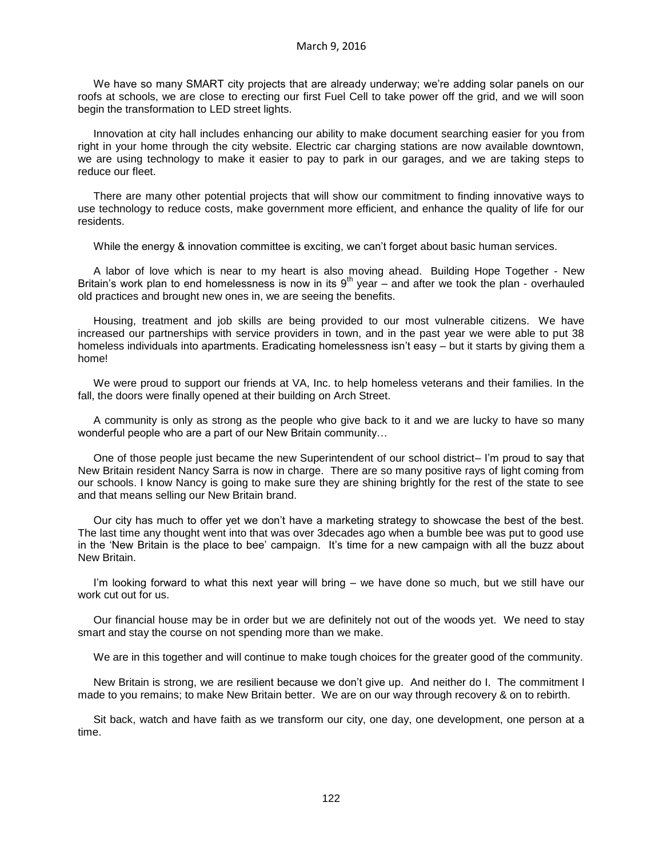We have so many SMART city projects that are already underway; we're adding solar panels on our roofs at schools, we are close to erecting our first Fuel Cell to take power off the grid, and we will soon begin the transformation to LED street lights.

Innovation at city hall includes enhancing our ability to make document searching easier for you from right in your home through the city website. Electric car charging stations are now available downtown, we are using technology to make it easier to pay to park in our garages, and we are taking steps to reduce our fleet.

There are many other potential projects that will show our commitment to finding innovative ways to use technology to reduce costs, make government more efficient, and enhance the quality of life for our residents.

While the energy & innovation committee is exciting, we can't forget about basic human services.

A labor of love which is near to my heart is also moving ahead. Building Hope Together - New Britain's work plan to end homelessness is now in its  $9<sup>th</sup>$  year – and after we took the plan - overhauled old practices and brought new ones in, we are seeing the benefits.

Housing, treatment and job skills are being provided to our most vulnerable citizens. We have increased our partnerships with service providers in town, and in the past year we were able to put 38 homeless individuals into apartments. Eradicating homelessness isn't easy – but it starts by giving them a home!

We were proud to support our friends at VA, Inc. to help homeless veterans and their families. In the fall, the doors were finally opened at their building on Arch Street.

A community is only as strong as the people who give back to it and we are lucky to have so many wonderful people who are a part of our New Britain community…

One of those people just became the new Superintendent of our school district– I'm proud to say that New Britain resident Nancy Sarra is now in charge. There are so many positive rays of light coming from our schools. I know Nancy is going to make sure they are shining brightly for the rest of the state to see and that means selling our New Britain brand.

Our city has much to offer yet we don't have a marketing strategy to showcase the best of the best. The last time any thought went into that was over 3decades ago when a bumble bee was put to good use in the 'New Britain is the place to bee' campaign. It's time for a new campaign with all the buzz about New Britain.

I'm looking forward to what this next year will bring – we have done so much, but we still have our work cut out for us.

Our financial house may be in order but we are definitely not out of the woods yet. We need to stay smart and stay the course on not spending more than we make.

We are in this together and will continue to make tough choices for the greater good of the community.

New Britain is strong, we are resilient because we don't give up. And neither do I. The commitment I made to you remains; to make New Britain better. We are on our way through recovery & on to rebirth.

Sit back, watch and have faith as we transform our city, one day, one development, one person at a time.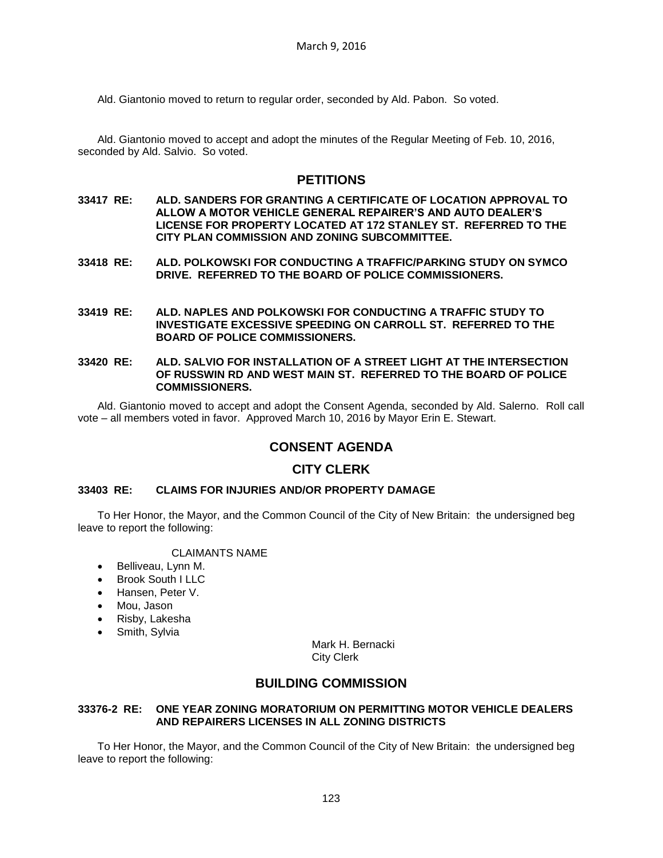Ald. Giantonio moved to return to regular order, seconded by Ald. Pabon. So voted.

Ald. Giantonio moved to accept and adopt the minutes of the Regular Meeting of Feb. 10, 2016, seconded by Ald. Salvio. So voted.

### **PETITIONS**

- **33417 RE: ALD. SANDERS FOR GRANTING A CERTIFICATE OF LOCATION APPROVAL TO ALLOW A MOTOR VEHICLE GENERAL REPAIRER'S AND AUTO DEALER'S LICENSE FOR PROPERTY LOCATED AT 172 STANLEY ST. REFERRED TO THE CITY PLAN COMMISSION AND ZONING SUBCOMMITTEE.**
- **33418 RE: ALD. POLKOWSKI FOR CONDUCTING A TRAFFIC/PARKING STUDY ON SYMCO DRIVE. REFERRED TO THE BOARD OF POLICE COMMISSIONERS.**
- **33419 RE: ALD. NAPLES AND POLKOWSKI FOR CONDUCTING A TRAFFIC STUDY TO INVESTIGATE EXCESSIVE SPEEDING ON CARROLL ST. REFERRED TO THE BOARD OF POLICE COMMISSIONERS.**
- **33420 RE: ALD. SALVIO FOR INSTALLATION OF A STREET LIGHT AT THE INTERSECTION OF RUSSWIN RD AND WEST MAIN ST. REFERRED TO THE BOARD OF POLICE COMMISSIONERS.**

Ald. Giantonio moved to accept and adopt the Consent Agenda, seconded by Ald. Salerno. Roll call vote – all members voted in favor. Approved March 10, 2016 by Mayor Erin E. Stewart.

## **CONSENT AGENDA**

## **CITY CLERK**

### **33403 RE: CLAIMS FOR INJURIES AND/OR PROPERTY DAMAGE**

To Her Honor, the Mayor, and the Common Council of the City of New Britain: the undersigned beg leave to report the following:

#### CLAIMANTS NAME

- Belliveau, Lynn M.
- Brook South I LLC
- Hansen, Peter V.
- Mou, Jason
- Risby, Lakesha
- Smith, Sylvia

Mark H. Bernacki City Clerk

## **BUILDING COMMISSION**

### **33376-2 RE: ONE YEAR ZONING MORATORIUM ON PERMITTING MOTOR VEHICLE DEALERS AND REPAIRERS LICENSES IN ALL ZONING DISTRICTS**

To Her Honor, the Mayor, and the Common Council of the City of New Britain: the undersigned beg leave to report the following: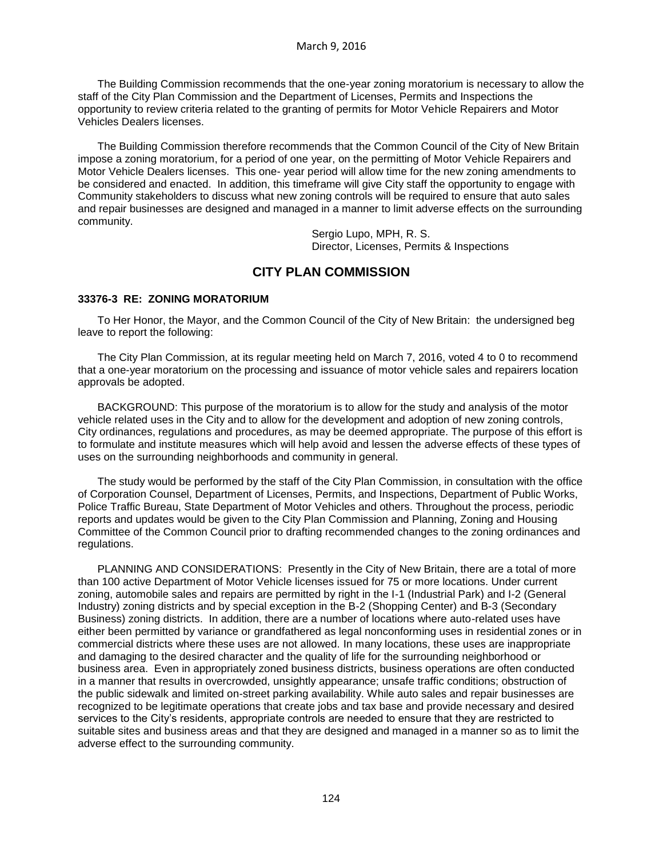The Building Commission recommends that the one-year zoning moratorium is necessary to allow the staff of the City Plan Commission and the Department of Licenses, Permits and Inspections the opportunity to review criteria related to the granting of permits for Motor Vehicle Repairers and Motor Vehicles Dealers licenses.

The Building Commission therefore recommends that the Common Council of the City of New Britain impose a zoning moratorium, for a period of one year, on the permitting of Motor Vehicle Repairers and Motor Vehicle Dealers licenses. This one- year period will allow time for the new zoning amendments to be considered and enacted. In addition, this timeframe will give City staff the opportunity to engage with Community stakeholders to discuss what new zoning controls will be required to ensure that auto sales and repair businesses are designed and managed in a manner to limit adverse effects on the surrounding community.

> Sergio Lupo, MPH, R. S. Director, Licenses, Permits & Inspections

# **CITY PLAN COMMISSION**

#### **33376-3 RE: ZONING MORATORIUM**

To Her Honor, the Mayor, and the Common Council of the City of New Britain: the undersigned beg leave to report the following:

The City Plan Commission, at its regular meeting held on March 7, 2016, voted 4 to 0 to recommend that a one-year moratorium on the processing and issuance of motor vehicle sales and repairers location approvals be adopted.

BACKGROUND: This purpose of the moratorium is to allow for the study and analysis of the motor vehicle related uses in the City and to allow for the development and adoption of new zoning controls, City ordinances, regulations and procedures, as may be deemed appropriate. The purpose of this effort is to formulate and institute measures which will help avoid and lessen the adverse effects of these types of uses on the surrounding neighborhoods and community in general.

The study would be performed by the staff of the City Plan Commission, in consultation with the office of Corporation Counsel, Department of Licenses, Permits, and Inspections, Department of Public Works, Police Traffic Bureau, State Department of Motor Vehicles and others. Throughout the process, periodic reports and updates would be given to the City Plan Commission and Planning, Zoning and Housing Committee of the Common Council prior to drafting recommended changes to the zoning ordinances and regulations.

PLANNING AND CONSIDERATIONS: Presently in the City of New Britain, there are a total of more than 100 active Department of Motor Vehicle licenses issued for 75 or more locations. Under current zoning, automobile sales and repairs are permitted by right in the I-1 (Industrial Park) and I-2 (General Industry) zoning districts and by special exception in the B-2 (Shopping Center) and B-3 (Secondary Business) zoning districts. In addition, there are a number of locations where auto-related uses have either been permitted by variance or grandfathered as legal nonconforming uses in residential zones or in commercial districts where these uses are not allowed. In many locations, these uses are inappropriate and damaging to the desired character and the quality of life for the surrounding neighborhood or business area. Even in appropriately zoned business districts, business operations are often conducted in a manner that results in overcrowded, unsightly appearance; unsafe traffic conditions; obstruction of the public sidewalk and limited on-street parking availability. While auto sales and repair businesses are recognized to be legitimate operations that create jobs and tax base and provide necessary and desired services to the City's residents, appropriate controls are needed to ensure that they are restricted to suitable sites and business areas and that they are designed and managed in a manner so as to limit the adverse effect to the surrounding community.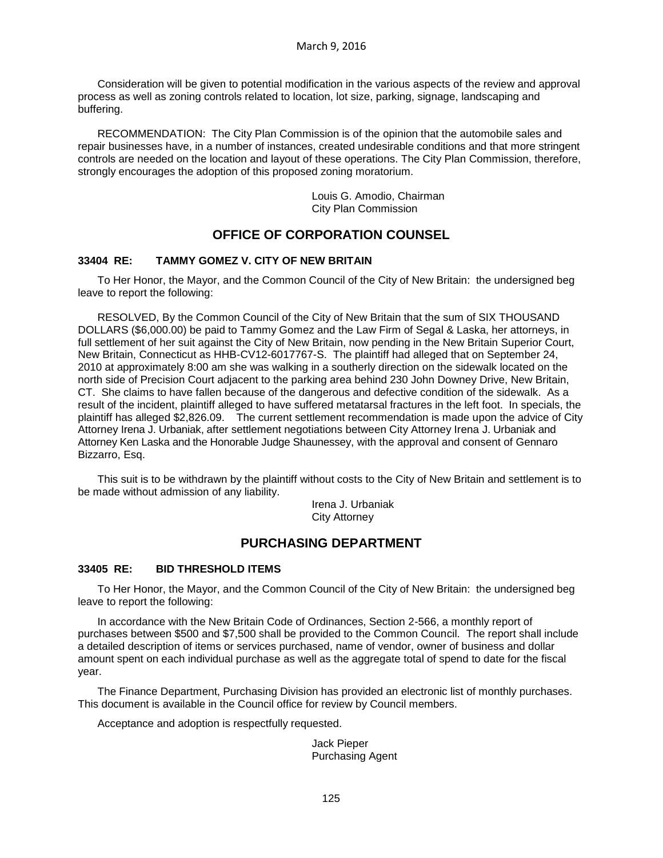Consideration will be given to potential modification in the various aspects of the review and approval process as well as zoning controls related to location, lot size, parking, signage, landscaping and buffering.

RECOMMENDATION: The City Plan Commission is of the opinion that the automobile sales and repair businesses have, in a number of instances, created undesirable conditions and that more stringent controls are needed on the location and layout of these operations. The City Plan Commission, therefore, strongly encourages the adoption of this proposed zoning moratorium.

> Louis G. Amodio, Chairman City Plan Commission

# **OFFICE OF CORPORATION COUNSEL**

#### **33404 RE: TAMMY GOMEZ V. CITY OF NEW BRITAIN**

To Her Honor, the Mayor, and the Common Council of the City of New Britain: the undersigned beg leave to report the following:

RESOLVED, By the Common Council of the City of New Britain that the sum of SIX THOUSAND DOLLARS (\$6,000.00) be paid to Tammy Gomez and the Law Firm of Segal & Laska, her attorneys, in full settlement of her suit against the City of New Britain, now pending in the New Britain Superior Court, New Britain, Connecticut as HHB-CV12-6017767-S. The plaintiff had alleged that on September 24, 2010 at approximately 8:00 am she was walking in a southerly direction on the sidewalk located on the north side of Precision Court adjacent to the parking area behind 230 John Downey Drive, New Britain, CT. She claims to have fallen because of the dangerous and defective condition of the sidewalk. As a result of the incident, plaintiff alleged to have suffered metatarsal fractures in the left foot. In specials, the plaintiff has alleged \$2,826.09. The current settlement recommendation is made upon the advice of City Attorney Irena J. Urbaniak, after settlement negotiations between City Attorney Irena J. Urbaniak and Attorney Ken Laska and the Honorable Judge Shaunessey, with the approval and consent of Gennaro Bizzarro, Esq.

This suit is to be withdrawn by the plaintiff without costs to the City of New Britain and settlement is to be made without admission of any liability.

> Irena J. Urbaniak City Attorney

# **PURCHASING DEPARTMENT**

#### **33405 RE: BID THRESHOLD ITEMS**

To Her Honor, the Mayor, and the Common Council of the City of New Britain: the undersigned beg leave to report the following:

In accordance with the New Britain Code of Ordinances, Section 2-566, a monthly report of purchases between \$500 and \$7,500 shall be provided to the Common Council. The report shall include a detailed description of items or services purchased, name of vendor, owner of business and dollar amount spent on each individual purchase as well as the aggregate total of spend to date for the fiscal year.

The Finance Department, Purchasing Division has provided an electronic list of monthly purchases. This document is available in the Council office for review by Council members.

Acceptance and adoption is respectfully requested.

Jack Pieper Purchasing Agent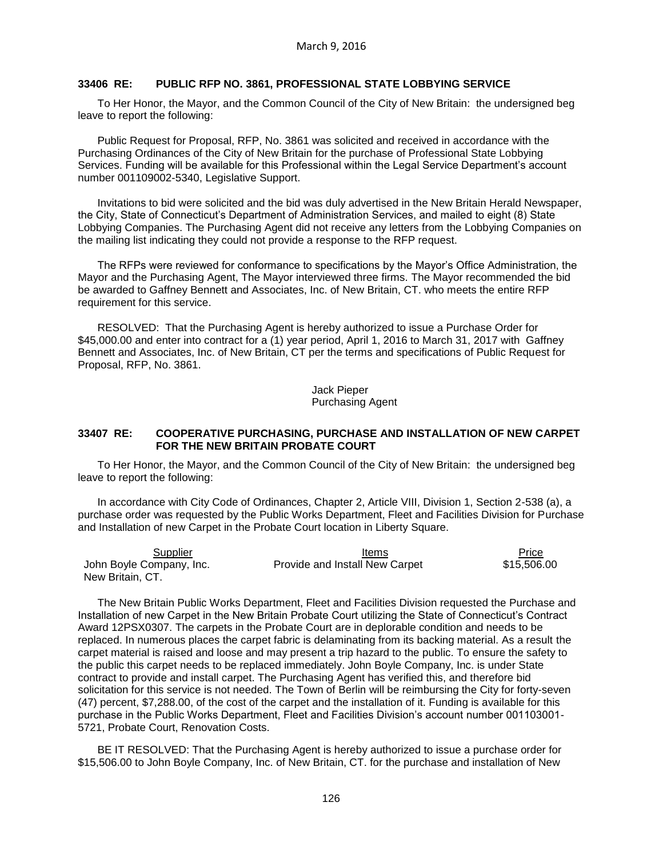#### **33406 RE: PUBLIC RFP NO. 3861, PROFESSIONAL STATE LOBBYING SERVICE**

To Her Honor, the Mayor, and the Common Council of the City of New Britain: the undersigned beg leave to report the following:

Public Request for Proposal, RFP, No. 3861 was solicited and received in accordance with the Purchasing Ordinances of the City of New Britain for the purchase of Professional State Lobbying Services. Funding will be available for this Professional within the Legal Service Department's account number 001109002-5340, Legislative Support.

Invitations to bid were solicited and the bid was duly advertised in the New Britain Herald Newspaper, the City, State of Connecticut's Department of Administration Services, and mailed to eight (8) State Lobbying Companies. The Purchasing Agent did not receive any letters from the Lobbying Companies on the mailing list indicating they could not provide a response to the RFP request.

The RFPs were reviewed for conformance to specifications by the Mayor's Office Administration, the Mayor and the Purchasing Agent, The Mayor interviewed three firms. The Mayor recommended the bid be awarded to Gaffney Bennett and Associates, Inc. of New Britain, CT. who meets the entire RFP requirement for this service.

RESOLVED: That the Purchasing Agent is hereby authorized to issue a Purchase Order for \$45,000.00 and enter into contract for a (1) year period, April 1, 2016 to March 31, 2017 with Gaffney Bennett and Associates, Inc. of New Britain, CT per the terms and specifications of Public Request for Proposal, RFP, No. 3861.

> Jack Pieper Purchasing Agent

#### **33407 RE: COOPERATIVE PURCHASING, PURCHASE AND INSTALLATION OF NEW CARPET FOR THE NEW BRITAIN PROBATE COURT**

To Her Honor, the Mayor, and the Common Council of the City of New Britain: the undersigned beg leave to report the following:

In accordance with City Code of Ordinances, Chapter 2, Article VIII, Division 1, Section 2-538 (a), a purchase order was requested by the Public Works Department, Fleet and Facilities Division for Purchase and Installation of new Carpet in the Probate Court location in Liberty Square.

| Supplier                 | Items                          | Price       |
|--------------------------|--------------------------------|-------------|
| John Boyle Company, Inc. | Provide and Install New Carpet | \$15,506.00 |
| New Britain, CT.         |                                |             |

The New Britain Public Works Department, Fleet and Facilities Division requested the Purchase and Installation of new Carpet in the New Britain Probate Court utilizing the State of Connecticut's Contract Award 12PSX0307. The carpets in the Probate Court are in deplorable condition and needs to be replaced. In numerous places the carpet fabric is delaminating from its backing material. As a result the carpet material is raised and loose and may present a trip hazard to the public. To ensure the safety to the public this carpet needs to be replaced immediately. John Boyle Company, Inc. is under State contract to provide and install carpet. The Purchasing Agent has verified this, and therefore bid solicitation for this service is not needed. The Town of Berlin will be reimbursing the City for forty-seven (47) percent, \$7,288.00, of the cost of the carpet and the installation of it. Funding is available for this purchase in the Public Works Department, Fleet and Facilities Division's account number 001103001- 5721, Probate Court, Renovation Costs.

BE IT RESOLVED: That the Purchasing Agent is hereby authorized to issue a purchase order for \$15,506.00 to John Boyle Company, Inc. of New Britain, CT. for the purchase and installation of New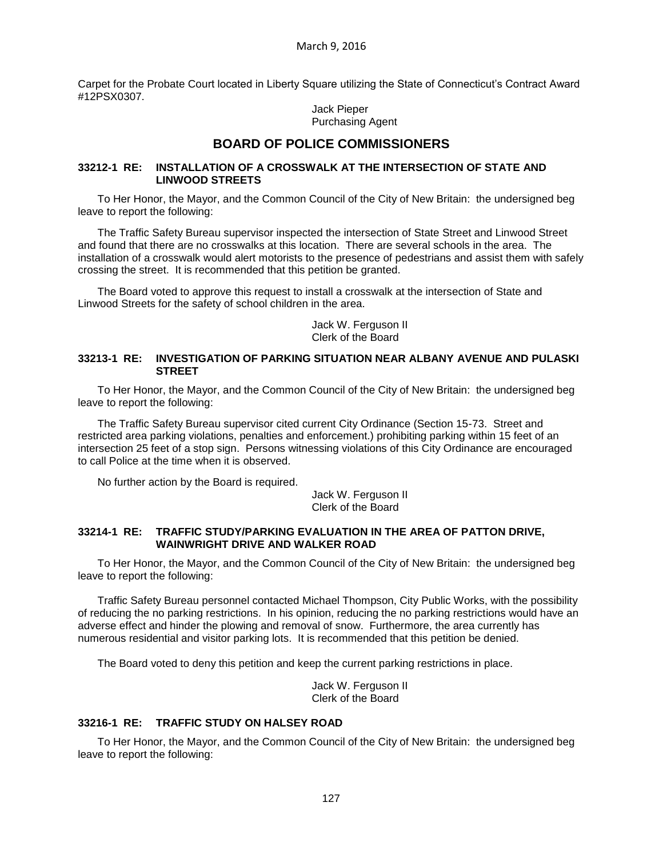Carpet for the Probate Court located in Liberty Square utilizing the State of Connecticut's Contract Award #12PSX0307.

> Jack Pieper Purchasing Agent

## **BOARD OF POLICE COMMISSIONERS**

#### **33212-1 RE: INSTALLATION OF A CROSSWALK AT THE INTERSECTION OF STATE AND LINWOOD STREETS**

To Her Honor, the Mayor, and the Common Council of the City of New Britain: the undersigned beg leave to report the following:

The Traffic Safety Bureau supervisor inspected the intersection of State Street and Linwood Street and found that there are no crosswalks at this location. There are several schools in the area. The installation of a crosswalk would alert motorists to the presence of pedestrians and assist them with safely crossing the street. It is recommended that this petition be granted.

The Board voted to approve this request to install a crosswalk at the intersection of State and Linwood Streets for the safety of school children in the area.

> Jack W. Ferguson II Clerk of the Board

#### **33213-1 RE: INVESTIGATION OF PARKING SITUATION NEAR ALBANY AVENUE AND PULASKI STREET**

To Her Honor, the Mayor, and the Common Council of the City of New Britain: the undersigned beg leave to report the following:

The Traffic Safety Bureau supervisor cited current City Ordinance (Section 15-73. Street and restricted area parking violations, penalties and enforcement.) prohibiting parking within 15 feet of an intersection 25 feet of a stop sign. Persons witnessing violations of this City Ordinance are encouraged to call Police at the time when it is observed.

No further action by the Board is required.

Jack W. Ferguson II Clerk of the Board

#### **33214-1 RE: TRAFFIC STUDY/PARKING EVALUATION IN THE AREA OF PATTON DRIVE, WAINWRIGHT DRIVE AND WALKER ROAD**

To Her Honor, the Mayor, and the Common Council of the City of New Britain: the undersigned beg leave to report the following:

Traffic Safety Bureau personnel contacted Michael Thompson, City Public Works, with the possibility of reducing the no parking restrictions. In his opinion, reducing the no parking restrictions would have an adverse effect and hinder the plowing and removal of snow. Furthermore, the area currently has numerous residential and visitor parking lots. It is recommended that this petition be denied.

The Board voted to deny this petition and keep the current parking restrictions in place.

Jack W. Ferguson II Clerk of the Board

### **33216-1 RE: TRAFFIC STUDY ON HALSEY ROAD**

To Her Honor, the Mayor, and the Common Council of the City of New Britain: the undersigned beg leave to report the following: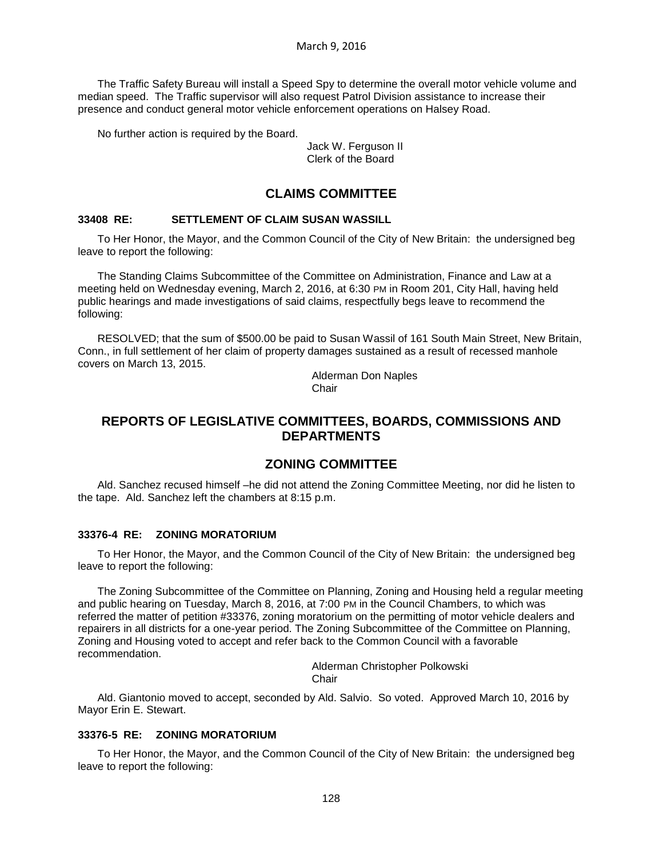The Traffic Safety Bureau will install a Speed Spy to determine the overall motor vehicle volume and median speed. The Traffic supervisor will also request Patrol Division assistance to increase their presence and conduct general motor vehicle enforcement operations on Halsey Road.

No further action is required by the Board.

Jack W. Ferguson II Clerk of the Board

### **CLAIMS COMMITTEE**

### **33408 RE: SETTLEMENT OF CLAIM SUSAN WASSILL**

To Her Honor, the Mayor, and the Common Council of the City of New Britain: the undersigned beg leave to report the following:

The Standing Claims Subcommittee of the Committee on Administration, Finance and Law at a meeting held on Wednesday evening, March 2, 2016, at 6:30 PM in Room 201, City Hall, having held public hearings and made investigations of said claims, respectfully begs leave to recommend the following:

RESOLVED; that the sum of \$500.00 be paid to Susan Wassil of 161 South Main Street, New Britain, Conn., in full settlement of her claim of property damages sustained as a result of recessed manhole covers on March 13, 2015.

> Alderman Don Naples **Chair**

## **REPORTS OF LEGISLATIVE COMMITTEES, BOARDS, COMMISSIONS AND DEPARTMENTS**

## **ZONING COMMITTEE**

Ald. Sanchez recused himself –he did not attend the Zoning Committee Meeting, nor did he listen to the tape. Ald. Sanchez left the chambers at 8:15 p.m.

#### **33376-4 RE: ZONING MORATORIUM**

To Her Honor, the Mayor, and the Common Council of the City of New Britain: the undersigned beg leave to report the following:

The Zoning Subcommittee of the Committee on Planning, Zoning and Housing held a regular meeting and public hearing on Tuesday, March 8, 2016, at 7:00 PM in the Council Chambers, to which was referred the matter of petition #33376, zoning moratorium on the permitting of motor vehicle dealers and repairers in all districts for a one-year period. The Zoning Subcommittee of the Committee on Planning, Zoning and Housing voted to accept and refer back to the Common Council with a favorable recommendation.

> Alderman Christopher Polkowski Chair

Ald. Giantonio moved to accept, seconded by Ald. Salvio. So voted. Approved March 10, 2016 by Mayor Erin E. Stewart.

#### **33376-5 RE: ZONING MORATORIUM**

To Her Honor, the Mayor, and the Common Council of the City of New Britain: the undersigned beg leave to report the following: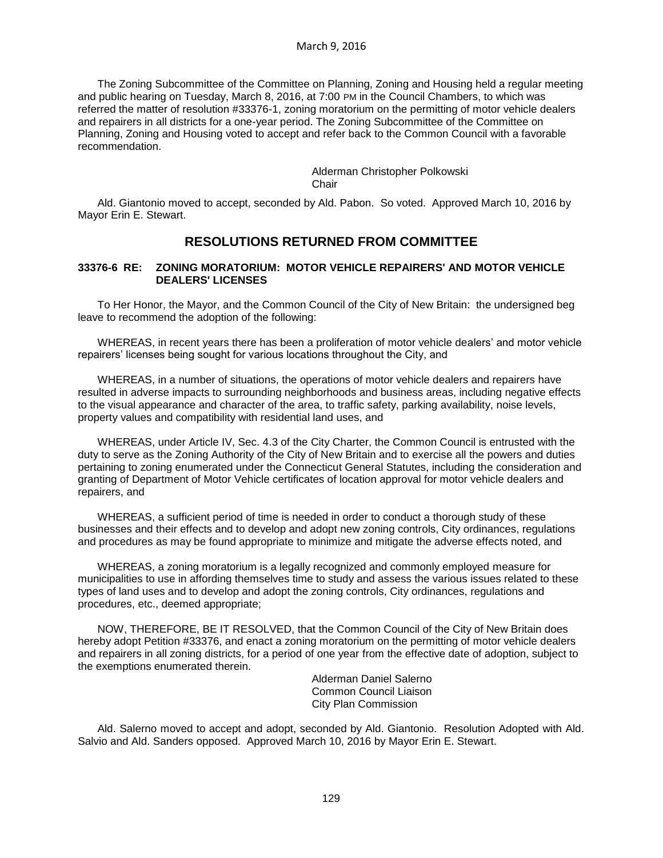The Zoning Subcommittee of the Committee on Planning, Zoning and Housing held a regular meeting and public hearing on Tuesday, March 8, 2016, at 7:00 PM in the Council Chambers, to which was referred the matter of resolution #33376-1, zoning moratorium on the permitting of motor vehicle dealers and repairers in all districts for a one-year period. The Zoning Subcommittee of the Committee on Planning, Zoning and Housing voted to accept and refer back to the Common Council with a favorable recommendation.

> Alderman Christopher Polkowski Chair

Ald. Giantonio moved to accept, seconded by Ald. Pabon. So voted. Approved March 10, 2016 by Mayor Erin E. Stewart.

### **RESOLUTIONS RETURNED FROM COMMITTEE**

#### **33376-6 RE: ZONING MORATORIUM: MOTOR VEHICLE REPAIRERS' AND MOTOR VEHICLE DEALERS' LICENSES**

To Her Honor, the Mayor, and the Common Council of the City of New Britain: the undersigned beg leave to recommend the adoption of the following:

WHEREAS, in recent years there has been a proliferation of motor vehicle dealers' and motor vehicle repairers' licenses being sought for various locations throughout the City, and

WHEREAS, in a number of situations, the operations of motor vehicle dealers and repairers have resulted in adverse impacts to surrounding neighborhoods and business areas, including negative effects to the visual appearance and character of the area, to traffic safety, parking availability, noise levels, property values and compatibility with residential land uses, and

WHEREAS, under Article IV, Sec. 4.3 of the City Charter, the Common Council is entrusted with the duty to serve as the Zoning Authority of the City of New Britain and to exercise all the powers and duties pertaining to zoning enumerated under the Connecticut General Statutes, including the consideration and granting of Department of Motor Vehicle certificates of location approval for motor vehicle dealers and repairers, and

WHEREAS, a sufficient period of time is needed in order to conduct a thorough study of these businesses and their effects and to develop and adopt new zoning controls, City ordinances, regulations and procedures as may be found appropriate to minimize and mitigate the adverse effects noted, and

WHEREAS, a zoning moratorium is a legally recognized and commonly employed measure for municipalities to use in affording themselves time to study and assess the various issues related to these types of land uses and to develop and adopt the zoning controls, City ordinances, regulations and procedures, etc., deemed appropriate;

NOW, THEREFORE, BE IT RESOLVED, that the Common Council of the City of New Britain does hereby adopt Petition #33376, and enact a zoning moratorium on the permitting of motor vehicle dealers and repairers in all zoning districts, for a period of one year from the effective date of adoption, subject to the exemptions enumerated therein.

> Alderman Daniel Salerno Common Council Liaison City Plan Commission

Ald. Salerno moved to accept and adopt, seconded by Ald. Giantonio. Resolution Adopted with Ald. Salvio and Ald. Sanders opposed. Approved March 10, 2016 by Mayor Erin E. Stewart.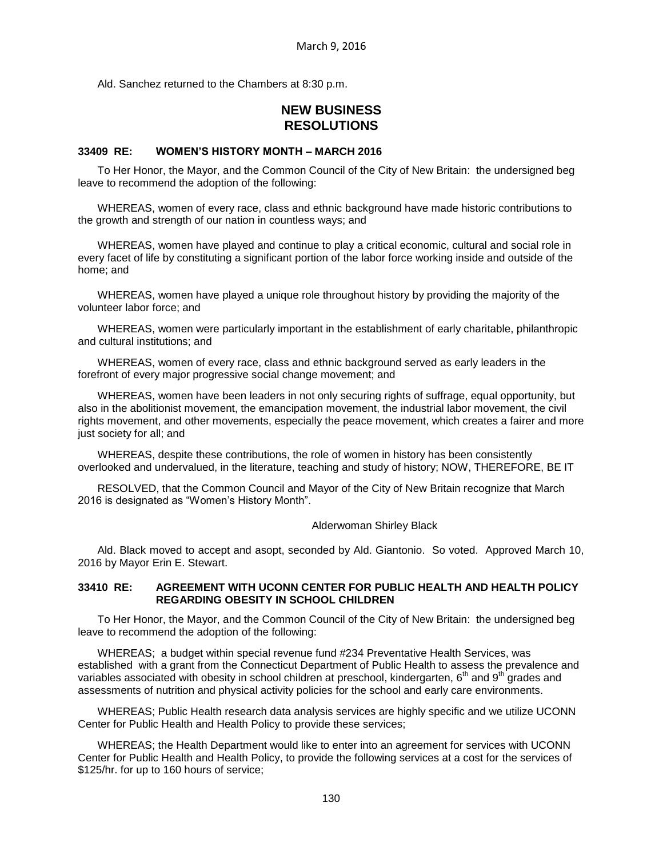Ald. Sanchez returned to the Chambers at 8:30 p.m.

# **NEW BUSINESS RESOLUTIONS**

#### **33409 RE: WOMEN'S HISTORY MONTH – MARCH 2016**

To Her Honor, the Mayor, and the Common Council of the City of New Britain: the undersigned beg leave to recommend the adoption of the following:

WHEREAS, women of every race, class and ethnic background have made historic contributions to the growth and strength of our nation in countless ways; and

WHEREAS, women have played and continue to play a critical economic, cultural and social role in every facet of life by constituting a significant portion of the labor force working inside and outside of the home; and

WHEREAS, women have played a unique role throughout history by providing the majority of the volunteer labor force; and

WHEREAS, women were particularly important in the establishment of early charitable, philanthropic and cultural institutions; and

WHEREAS, women of every race, class and ethnic background served as early leaders in the forefront of every major progressive social change movement; and

WHEREAS, women have been leaders in not only securing rights of suffrage, equal opportunity, but also in the abolitionist movement, the emancipation movement, the industrial labor movement, the civil rights movement, and other movements, especially the peace movement, which creates a fairer and more just society for all; and

WHEREAS, despite these contributions, the role of women in history has been consistently overlooked and undervalued, in the literature, teaching and study of history; NOW, THEREFORE, BE IT

RESOLVED, that the Common Council and Mayor of the City of New Britain recognize that March 2016 is designated as "Women's History Month".

Alderwoman Shirley Black

Ald. Black moved to accept and asopt, seconded by Ald. Giantonio. So voted. Approved March 10, 2016 by Mayor Erin E. Stewart.

#### **33410 RE: AGREEMENT WITH UCONN CENTER FOR PUBLIC HEALTH AND HEALTH POLICY REGARDING OBESITY IN SCHOOL CHILDREN**

To Her Honor, the Mayor, and the Common Council of the City of New Britain: the undersigned beg leave to recommend the adoption of the following:

WHEREAS; a budget within special revenue fund #234 Preventative Health Services, was established with a grant from the Connecticut Department of Public Health to assess the prevalence and variables associated with obesity in school children at preschool, kindergarten,  $6<sup>th</sup>$  and  $9<sup>th</sup>$  grades and assessments of nutrition and physical activity policies for the school and early care environments.

WHEREAS; Public Health research data analysis services are highly specific and we utilize UCONN Center for Public Health and Health Policy to provide these services;

WHEREAS; the Health Department would like to enter into an agreement for services with UCONN Center for Public Health and Health Policy, to provide the following services at a cost for the services of \$125/hr. for up to 160 hours of service;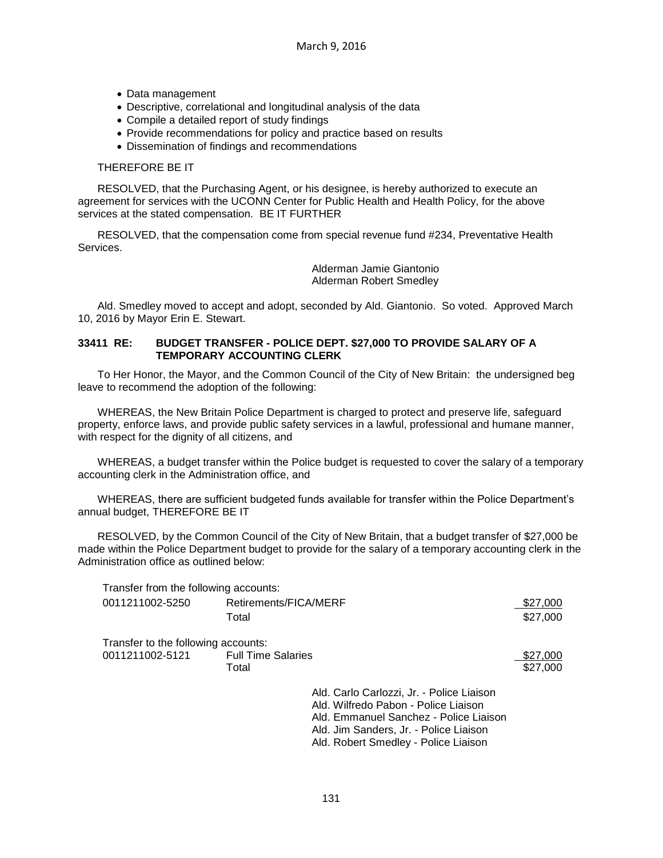- Data management
- Descriptive, correlational and longitudinal analysis of the data
- Compile a detailed report of study findings
- Provide recommendations for policy and practice based on results
- Dissemination of findings and recommendations

#### THEREFORE BE IT

RESOLVED, that the Purchasing Agent, or his designee, is hereby authorized to execute an agreement for services with the UCONN Center for Public Health and Health Policy, for the above services at the stated compensation. BE IT FURTHER

RESOLVED, that the compensation come from special revenue fund #234, Preventative Health Services.

> Alderman Jamie Giantonio Alderman Robert Smedley

Ald. Smedley moved to accept and adopt, seconded by Ald. Giantonio. So voted. Approved March 10, 2016 by Mayor Erin E. Stewart.

#### **33411 RE: BUDGET TRANSFER - POLICE DEPT. \$27,000 TO PROVIDE SALARY OF A TEMPORARY ACCOUNTING CLERK**

To Her Honor, the Mayor, and the Common Council of the City of New Britain: the undersigned beg leave to recommend the adoption of the following:

WHEREAS, the New Britain Police Department is charged to protect and preserve life, safeguard property, enforce laws, and provide public safety services in a lawful, professional and humane manner, with respect for the dignity of all citizens, and

WHEREAS, a budget transfer within the Police budget is requested to cover the salary of a temporary accounting clerk in the Administration office, and

WHEREAS, there are sufficient budgeted funds available for transfer within the Police Department's annual budget, THEREFORE BE IT

RESOLVED, by the Common Council of the City of New Britain, that a budget transfer of \$27,000 be made within the Police Department budget to provide for the salary of a temporary accounting clerk in the Administration office as outlined below:

| Transfer from the following accounts: |                           |                                           |          |
|---------------------------------------|---------------------------|-------------------------------------------|----------|
| 0011211002-5250                       | Retirements/FICA/MERF     |                                           | \$27,000 |
|                                       | Total                     |                                           | \$27,000 |
| Transfer to the following accounts:   |                           |                                           |          |
| 0011211002-5121                       | <b>Full Time Salaries</b> |                                           | \$27,000 |
|                                       | Total                     |                                           | \$27,000 |
|                                       |                           | Ald. Carlo Carlozzi, Jr. - Police Liaison |          |
|                                       |                           | Ald. Wilfredo Pabon - Police Liaison      |          |
|                                       |                           | Ald. Emmanuel Sanchez - Police Liaison    |          |
|                                       |                           | Ald. Jim Sanders, Jr. - Police Liaison    |          |
|                                       |                           | Ald. Robert Smedley - Police Liaison      |          |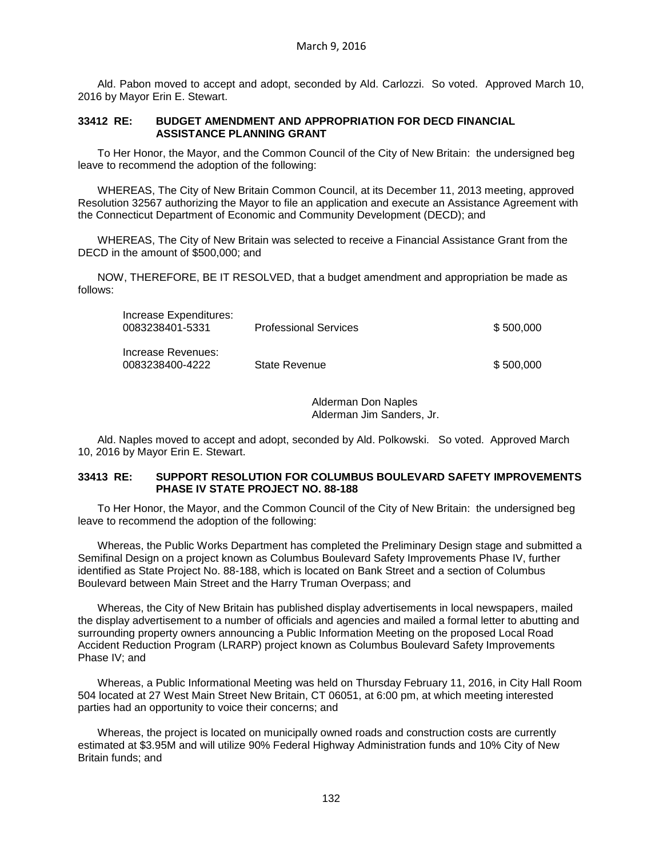Ald. Pabon moved to accept and adopt, seconded by Ald. Carlozzi. So voted. Approved March 10, 2016 by Mayor Erin E. Stewart.

#### **33412 RE: BUDGET AMENDMENT AND APPROPRIATION FOR DECD FINANCIAL ASSISTANCE PLANNING GRANT**

To Her Honor, the Mayor, and the Common Council of the City of New Britain: the undersigned beg leave to recommend the adoption of the following:

WHEREAS, The City of New Britain Common Council, at its December 11, 2013 meeting, approved Resolution 32567 authorizing the Mayor to file an application and execute an Assistance Agreement with the Connecticut Department of Economic and Community Development (DECD); and

WHEREAS, The City of New Britain was selected to receive a Financial Assistance Grant from the DECD in the amount of \$500,000; and

NOW, THEREFORE, BE IT RESOLVED, that a budget amendment and appropriation be made as follows:

| Increase Expenditures:<br>0083238401-5331 | <b>Professional Services</b> | \$500,000 |
|-------------------------------------------|------------------------------|-----------|
| Increase Revenues:<br>0083238400-4222     | State Revenue                | \$500,000 |

Alderman Don Naples Alderman Jim Sanders, Jr.

Ald. Naples moved to accept and adopt, seconded by Ald. Polkowski. So voted. Approved March 10, 2016 by Mayor Erin E. Stewart.

#### **33413 RE: SUPPORT RESOLUTION FOR COLUMBUS BOULEVARD SAFETY IMPROVEMENTS PHASE IV STATE PROJECT NO. 88-188**

To Her Honor, the Mayor, and the Common Council of the City of New Britain: the undersigned beg leave to recommend the adoption of the following:

Whereas, the Public Works Department has completed the Preliminary Design stage and submitted a Semifinal Design on a project known as Columbus Boulevard Safety Improvements Phase IV, further identified as State Project No. 88-188, which is located on Bank Street and a section of Columbus Boulevard between Main Street and the Harry Truman Overpass; and

Whereas, the City of New Britain has published display advertisements in local newspapers, mailed the display advertisement to a number of officials and agencies and mailed a formal letter to abutting and surrounding property owners announcing a Public Information Meeting on the proposed Local Road Accident Reduction Program (LRARP) project known as Columbus Boulevard Safety Improvements Phase IV; and

Whereas, a Public Informational Meeting was held on Thursday February 11, 2016, in City Hall Room 504 located at 27 West Main Street New Britain, CT 06051, at 6:00 pm, at which meeting interested parties had an opportunity to voice their concerns; and

Whereas, the project is located on municipally owned roads and construction costs are currently estimated at \$3.95M and will utilize 90% Federal Highway Administration funds and 10% City of New Britain funds; and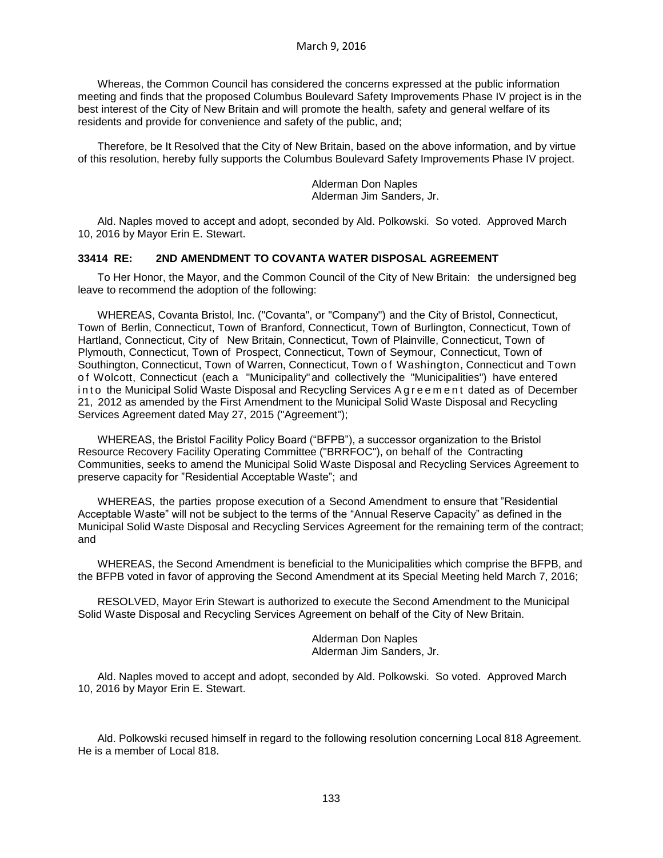Whereas, the Common Council has considered the concerns expressed at the public information meeting and finds that the proposed Columbus Boulevard Safety Improvements Phase IV project is in the best interest of the City of New Britain and will promote the health, safety and general welfare of its residents and provide for convenience and safety of the public, and;

Therefore, be It Resolved that the City of New Britain, based on the above information, and by virtue of this resolution, hereby fully supports the Columbus Boulevard Safety Improvements Phase IV project.

> Alderman Don Naples Alderman Jim Sanders, Jr.

Ald. Naples moved to accept and adopt, seconded by Ald. Polkowski. So voted. Approved March 10, 2016 by Mayor Erin E. Stewart.

#### **33414 RE: 2ND AMENDMENT TO COVANTA WATER DISPOSAL AGREEMENT**

To Her Honor, the Mayor, and the Common Council of the City of New Britain: the undersigned beg leave to recommend the adoption of the following:

WHEREAS, Covanta Bristol, Inc. ("Covanta", or "Company") and the City of Bristol, Connecticut, Town of Berlin, Connecticut, Town of Branford, Connecticut, Town of Burlington, Connecticut, Town of Hartland, Connecticut, City of New Britain, Connecticut, Town of Plainville, Connecticut, Town of Plymouth, Connecticut, Town of Prospect, Connecticut, Town of Seymour, Connecticut, Town of Southington, Connecticut, Town of Warren, Connecticut, Town of Washington, Connecticut and Town of Wolcott, Connecticut (each a "Municipality" and collectively the "Municipalities") have entered in to the Municipal Solid Waste Disposal and Recycling Services A g r e e m e n t dated as of December 21, 2012 as amended by the First Amendment to the Municipal Solid Waste Disposal and Recycling Services Agreement dated May 27, 2015 ("Agreement");

WHEREAS, the Bristol Facility Policy Board ("BFPB"), a successor organization to the Bristol Resource Recovery Facility Operating Committee ("BRRFOC"), on behalf of the Contracting Communities, seeks to amend the Municipal Solid Waste Disposal and Recycling Services Agreement to preserve capacity for "Residential Acceptable Waste"; and

WHEREAS, the parties propose execution of a Second Amendment to ensure that "Residential Acceptable Waste" will not be subject to the terms of the "Annual Reserve Capacity" as defined in the Municipal Solid Waste Disposal and Recycling Services Agreement for the remaining term of the contract; and

WHEREAS, the Second Amendment is beneficial to the Municipalities which comprise the BFPB, and the BFPB voted in favor of approving the Second Amendment at its Special Meeting held March 7, 2016;

RESOLVED, Mayor Erin Stewart is authorized to execute the Second Amendment to the Municipal Solid Waste Disposal and Recycling Services Agreement on behalf of the City of New Britain.

> Alderman Don Naples Alderman Jim Sanders, Jr.

Ald. Naples moved to accept and adopt, seconded by Ald. Polkowski. So voted. Approved March 10, 2016 by Mayor Erin E. Stewart.

Ald. Polkowski recused himself in regard to the following resolution concerning Local 818 Agreement. He is a member of Local 818.